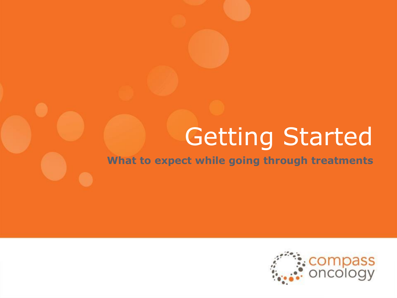# Getting Started

**What to expect while going through treatments**

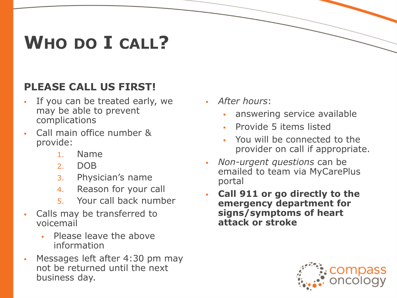# **WHO DO I CALL?**

#### **PLEASE CALL US FIRST!**

- If you can be treated early, we may be able to prevent complications
- Call main office number & provide:
	- 1. Name
	- 2. DOB
	- 3. Physician's name
	- 4. Reason for your call
	- 5. Your call back number
- Calls may be transferred to voicemail
	- **Please leave the above** information
- Messages left after 4:30 pm may not be returned until the next business day.
- *After hours*:
	- answering service available
	- **Provide 5 items listed**
	- You will be connected to the provider on call if appropriate.
- *Non-urgent questions* can be emailed to team via MyCarePlus portal
- **Call 911 or go directly to the emergency department for signs/symptoms of heart attack or stroke**

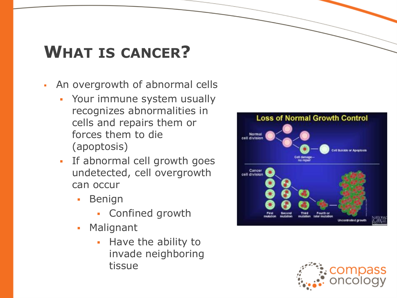# **WHAT IS CANCER?**

- An overgrowth of abnormal cells
	- Your immune system usually recognizes abnormalities in cells and repairs them or forces them to die (apoptosis)
	- If abnormal cell growth goes undetected, cell overgrowth can occur
		- **Benign** 
			- Confined growth
		- Malignant
			- Have the ability to invade neighboring tissue



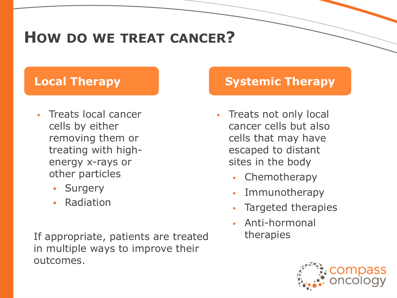### **HOW DO WE TREAT CANCER?**

- Treats local cancer cells by either removing them or treating with highenergy x-rays or other particles
	- **Surgery**
	- **Radiation**

If appropriate, patients are treated therapies in multiple ways to improve their outcomes.

#### **Local Therapy Systemic Therapy**

- Treats not only local cancer cells but also cells that may have escaped to distant sites in the body
	- Chemotherapy
	- **Immunotherapy**
	- Targeted therapies
	- Anti-hormonal

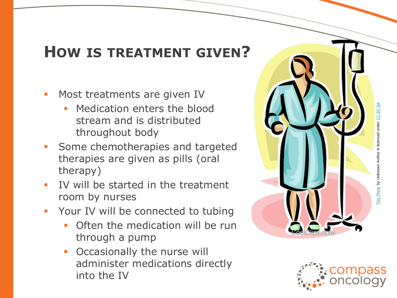### **HOW IS TREATMENT GIVEN?**

- Most treatments are given IV
	- Medication enters the blood stream and is distributed throughout body
- **Some chemotherapies and targeted** therapies are given as pills (oral therapy)
- IV will be started in the treatment room by nurses
- **Your IV will be connected to tubing** 
	- Often the medication will be run through a pump
	- **Occasionally the nurse will** administer medications directly into the IV



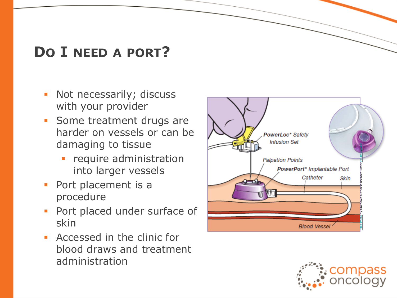### **D O I NEED A PORT?**

- **·** Not necessarily; discuss with your provider
- **Some treatment drugs are** harder on vessels or can be damaging to tissue
	- require administration into larger vessels
- Port placement is a procedure
- **Port placed under surface of** skin
- Accessed in the clinic for blood draws and treatment administration



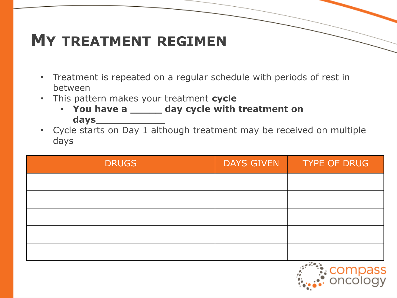## **MY TREATMENT REGIMEN**

- Treatment is repeated on a regular schedule with periods of rest in between
- This pattern makes your treatment **cycle** 
	- **You have a \_\_\_\_\_ day cycle with treatment on days\_\_\_\_\_\_\_\_\_\_\_**
- Cycle starts on Day 1 although treatment may be received on multiple days

| <b>DRUGS</b> | <b>DAYS GIVEN</b> | <b>TYPE OF DRUG</b> |
|--------------|-------------------|---------------------|
|              |                   |                     |
|              |                   |                     |
|              |                   |                     |
|              |                   |                     |
|              |                   |                     |

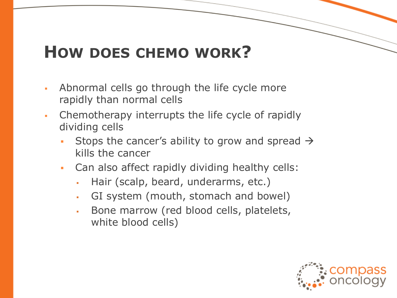### **HOW DOES CHEMO WORK?**

- **EXED** Abnormal cells go through the life cycle more rapidly than normal cells
- Chemotherapy interrupts the life cycle of rapidly dividing cells
	- **•** Stops the cancer's ability to grow and spread  $\rightarrow$ kills the cancer
	- Can also affect rapidly dividing healthy cells:
		- Hair (scalp, beard, underarms, etc.)
		- GI system (mouth, stomach and bowel)
		- **Bone marrow (red blood cells, platelets,** white blood cells)

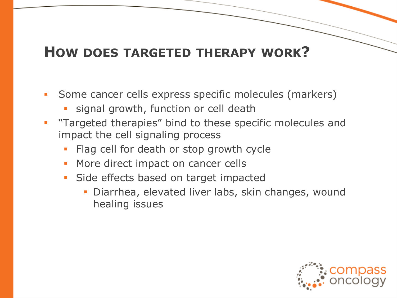#### **HOW DOES TARGETED THERAPY WORK?**

- Some cancer cells express specific molecules (markers)
	- signal growth, function or cell death
- **•** "Targeted therapies" bind to these specific molecules and impact the cell signaling process
	- Flag cell for death or stop growth cycle
	- More direct impact on cancer cells
	- **·** Side effects based on target impacted
		- **Diarrhea, elevated liver labs, skin changes, wound** healing issues

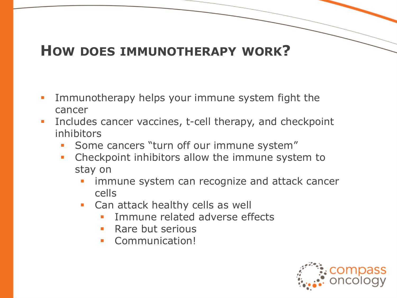#### **HOW DOES IMMUNOTHERAPY WORK?**

- **.** Immunotherapy helps your immune system fight the cancer
- **EXECUTE:** Includes cancer vaccines, t-cell therapy, and checkpoint inhibitors
	- Some cancers "turn off our immune system"
	- **Checkpoint inhibitors allow the immune system to** stay on
		- immune system can recognize and attack cancer cells
		- **Can attack healthy cells as well** 
			- Immune related adverse effects
			- **Rare but serious**
			- Communication!

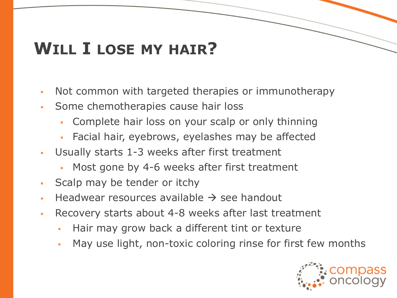# **WILL I LOSE MY HAIR?**

- Not common with targeted therapies or immunotherapy
- **Some chemotherapies cause hair loss** 
	- Complete hair loss on your scalp or only thinning
	- Facial hair, eyebrows, eyelashes may be affected
- Usually starts 1-3 weeks after first treatment
	- Most gone by 4-6 weeks after first treatment
- Scalp may be tender or itchy
- Headwear resources available  $\rightarrow$  see handout
- Recovery starts about 4-8 weeks after last treatment
	- Hair may grow back a different tint or texture
	- May use light, non-toxic coloring rinse for first few months

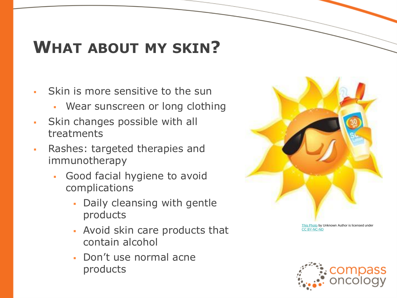# **WHAT ABOUT MY SKIN?**

- Skin is more sensitive to the sun
	- Wear sunscreen or long clothing
- **Skin changes possible with all** treatments
- Rashes: targeted therapies and immunotherapy
	- Good facial hygiene to avoid complications
		- Daily cleansing with gentle products
		- Avoid skin care products that contain alcohol
		- Don't use normal acne products



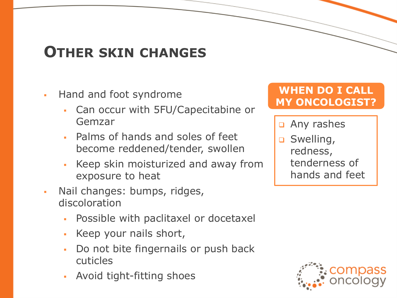### **OTHER SKIN CHANGES**

- **Hand and foot syndrome** 
	- Can occur with 5FU/Capecitabine or Gemzar
	- Palms of hands and soles of feet become reddened/tender, swollen
	- Keep skin moisturized and away from exposure to heat
- Nail changes: bumps, ridges, discoloration
	- Possible with paclitaxel or docetaxel
	- Keep your nails short,
	- Do not bite fingernails or push back cuticles
	- Avoid tight-fitting shoes

#### **WHEN DO I CALL MY ONCOLOGIST?**

- **a** Any rashes
- **D** Swelling, redness, tenderness of hands and feet

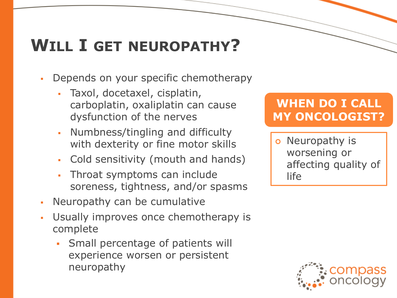# **WILL I GET NEUROPATHY?**

- Depends on your specific chemotherapy
	- Taxol, docetaxel, cisplatin, carboplatin, oxaliplatin can cause dysfunction of the nerves
	- Numbness/tingling and difficulty with dexterity or fine motor skills
	- Cold sensitivity (mouth and hands)
	- Throat symptoms can include soreness, tightness, and/or spasms
- Neuropathy can be cumulative
- Usually improves once chemotherapy is complete
	- Small percentage of patients will experience worsen or persistent neuropathy

#### **WHEN DO I CALL MY ONCOLOGIST?**

 Neuropathy is worsening or affecting quality of life

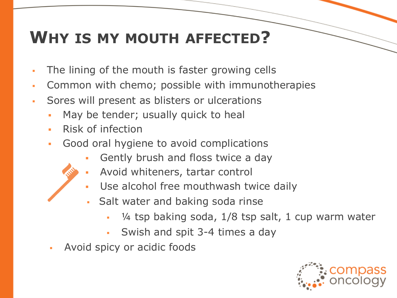## **WHY IS MY MOUTH AFFECTED?**

- The lining of the mouth is faster growing cells
- Common with chemo; possible with immunotherapies
- Sores will present as blisters or ulcerations
	- May be tender; usually quick to heal
	- **·** Risk of infection
	- Good oral hygiene to avoid complications
		- Gently brush and floss twice a day
		- Avoid whiteners, tartar control
		- Use alcohol free mouthwash twice daily
		- Salt water and baking soda rinse
			- $\frac{1}{4}$  tsp baking soda,  $\frac{1}{8}$  tsp salt, 1 cup warm water
			- Swish and spit 3-4 times a day
	- Avoid spicy or acidic foods

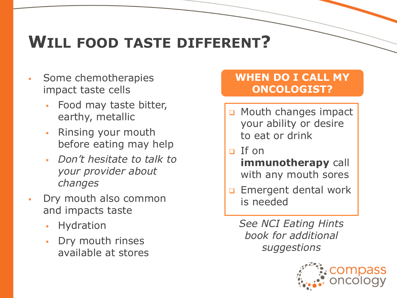# **WILL FOOD TASTE DIFFERENT?**

- Some chemotherapies impact taste cells
	- Food may taste bitter, earthy, metallic
	- Rinsing your mouth before eating may help
	- *Don't hesitate to talk to your provider about changes*
- Dry mouth also common and impacts taste
	- Hydration
	- Dry mouth rinses available at stores

#### **WHEN DO I CALL MY ONCOLOGIST?**

- **Q** Mouth changes impact your ability or desire to eat or drink
- $\Box$  If on
	- **immunotherapy** call with any mouth sores
- **Emergent dental work** is needed

*See NCI Eating Hints book for additional suggestions*

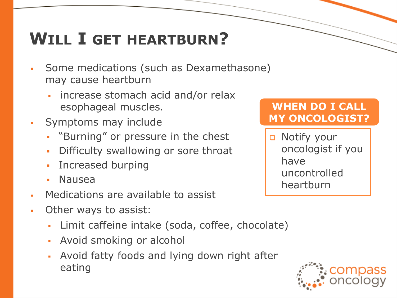# **WILL I GET HEARTBURN?**

- Some medications (such as Dexamethasone) may cause heartburn
	- increase stomach acid and/or relax esophageal muscles.
- Symptoms may include
	- "Burning" or pressure in the chest
	- **Difficulty swallowing or sore throat**
	- Increased burping
	- **Nausea**
- Medications are available to assist
- **Other ways to assist:** 
	- Limit caffeine intake (soda, coffee, chocolate)
	- **EXECT:** Avoid smoking or alcohol
	- Avoid fatty foods and lying down right after eating

#### **WHEN DO I CALL MY ONCOLOGIST?**

**Q** Notify your oncologist if you have uncontrolled heartburn

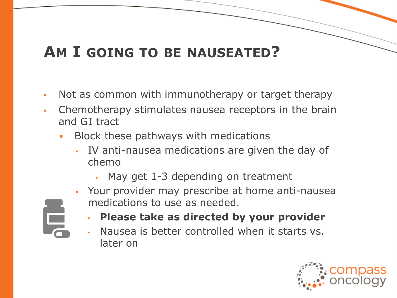### **AM I GOING TO BE NAUSEATED?**

- Not as common with immunotherapy or target therapy
- Chemotherapy stimulates nausea receptors in the brain and GI tract
	- **Block these pathways with medications** 
		- IV anti-nausea medications are given the day of chemo
			- May get  $1-3$  depending on treatment
		- **EXECT** Your provider may prescribe at home anti-nausea medications to use as needed.



- **Please take as directed by your provider**
- Nausea is better controlled when it starts vs. later on

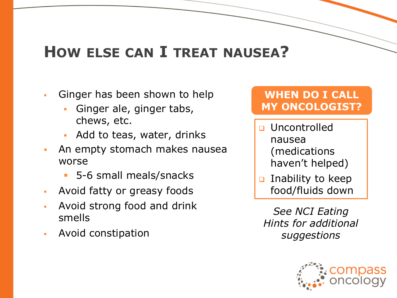### **HOW ELSE CAN I TREAT NAUSEA?**

- **Ginger has been shown to help** 
	- Ginger ale, ginger tabs, chews, etc.
	- Add to teas, water, drinks
- **EXECT** An empty stomach makes nausea worse
	- 5-6 small meals/snacks
- Avoid fatty or greasy foods
- Avoid strong food and drink smells
- **Avoid constipation**

#### **WHEN DO I CALL MY ONCOLOGIST?**

- **u** Uncontrolled nausea (medications haven't helped)
- **D** Inability to keep food/fluids down

*See NCI Eating Hints for additional suggestions*

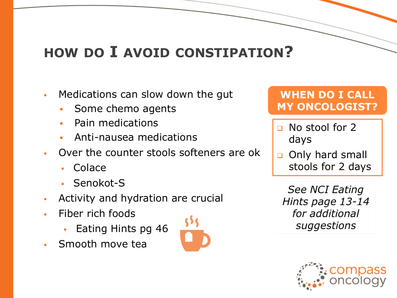### **HOW DO I AVOID CONSTIPATION?**

- Medications can slow down the gut
	- Some chemo agents
	- **•** Pain medications
	- Anti-nausea medications
- Over the counter stools softeners are ok
	- Colace
	- Senokot-S
- **Activity and hydration are crucial**
- Fiber rich foods
	- Eating Hints pg 46
- Smooth move tea



#### **WHEN DO I CALL MY ONCOLOGIST?**

- **No stool for 2** days
- o Only hard small stools for 2 days

See NCI Eating Hints page 13-14 for additional suggestions

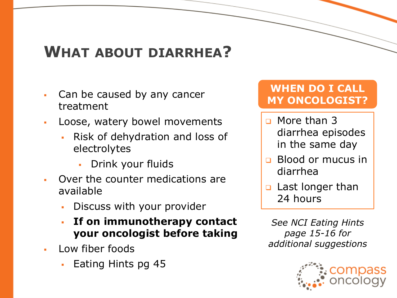### **WHAT ABOUT DIARRHEA?**

- Can be caused by any cancer treatment
- Loose, watery bowel movements
	- Risk of dehydration and loss of electrolytes
		- Drink your fluids
- Over the counter medications are available
	- Discuss with your provider
	- If on immunotherapy contact **your oncologist before taking**
- Low fiber foods
	- Eating Hints pg 45

#### **WHEN DO I CALL MY ONCOLOGIST?**

- **D** More than 3 diarrhea episodes in the same day
- Blood or mucus in diarrhea
- **Q** Last longer than 24 hours

*See NCI Eating Hints page 15-16 for additional suggestions*

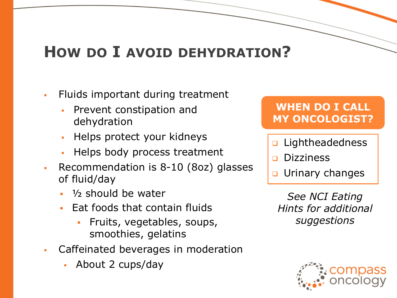### **HOW DO I AVOID DEHYDRATION?**

- Fluids important during treatment
	- Prevent constipation and dehydration
	- Helps protect your kidneys
	- Helps body process treatment
- Recommendation is 8-10 (8oz) glasses of fluid/day
	- $\frac{1}{2}$  should be water
	- Eat foods that contain fluids
		- Fruits, vegetables, soups, smoothies, gelatins
- Caffeinated beverages in moderation
	- About 2 cups/day

#### **WHEN DO I CALL MY ONCOLOGIST?**

- **D** Lightheadedness
- **Dizziness**
- Urinary changes

*See NCI Eating Hints for additional suggestions*

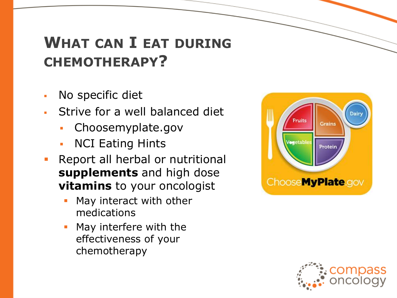### **WHAT CAN I EAT DURING CHEMOTHERAPY?**

- No specific diet
- **EXTED Strive for a well balanced diet** 
	- Choosemyplate.gov
	- **NCI Eating Hints**
- **Report all herbal or nutritional supplements** and high dose **vitamins** to your oncologist
	- May interact with other medications
	- May interfere with the effectiveness of your chemotherapy



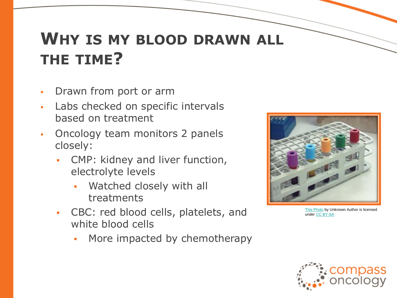## **WHY IS MY BLOOD DRAWN ALL THE TIME?**

- Drawn from port or arm
- Labs checked on specific intervals based on treatment
- Oncology team monitors 2 panels closely:
	- CMP: kidney and liver function, electrolyte levels
		- Watched closely with all treatments
	- CBC: red blood cells, platelets, and white blood cells
		- More impacted by chemotherapy



[This Photo](https://en.wikipedia.org/wiki/Vacutainer) by Unknown Author is licensed under [CC BY-SA](https://creativecommons.org/licenses/by-sa/3.0/)

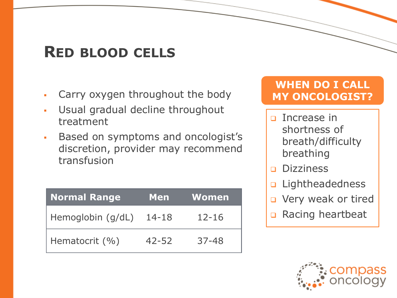### **RED BLOOD CELLS**

- Carry oxygen throughout the body
- Usual gradual decline throughout treatment
- Based on symptoms and oncologist's discretion, provider may recommend transfusion

| <b>Normal Range</b> | <b>Men</b> | <b>Women</b> |
|---------------------|------------|--------------|
| Hemoglobin (g/dL)   | 14-18      | $12 - 16$    |
| Hematocrit $(\% )$  | $42 - 52$  | $37 - 48$    |

#### **WHEN DO I CALL MY ONCOLOGIST?**

- **D** Increase in shortness of breath/difficulty breathing
- **Dizziness**
- **D** Lightheadedness
- **D** Very weak or tired
- Racing heartbeat

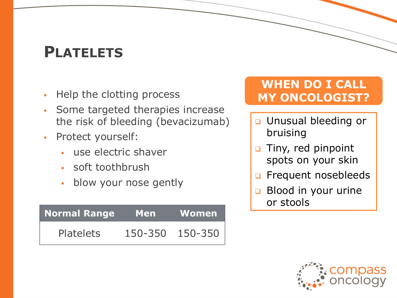### **PLATELETS**

- Help the clotting process
- Some targeted therapies increase the risk of bleeding (bevacizumab)
- Protect yourself:
	- use electric shaver
	- soft toothbrush
	- **·** blow your nose gently

| Normal Range     | <b>Men</b> | Women   |
|------------------|------------|---------|
| <b>Platelets</b> | 150-350    | 150-350 |

#### **WHEN DO I CALL MY ONCOLOGIST?**

- **u** Unusual bleeding or bruising
- □ Tiny, red pinpoint spots on your skin
- **D** Frequent nosebleeds
- Blood in your urine or stools

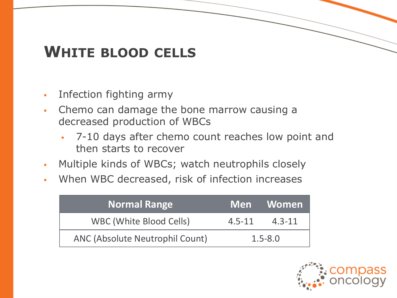### **WHITE BLOOD CELLS**

- Infection fighting army
- Chemo can damage the bone marrow causing a decreased production of WBCs
	- 7-10 days after chemo count reaches low point and then starts to recover
- Multiple kinds of WBCs; watch neutrophils closely
- When WBC decreased, risk of infection increases

| <b>Normal Range</b>             |             | <u>l Men Women </u> |
|---------------------------------|-------------|---------------------|
| WBC (White Blood Cells)         | $4.5 - 11$  | $4.3 - 11$          |
| ANC (Absolute Neutrophil Count) | $1.5 - 8.0$ |                     |

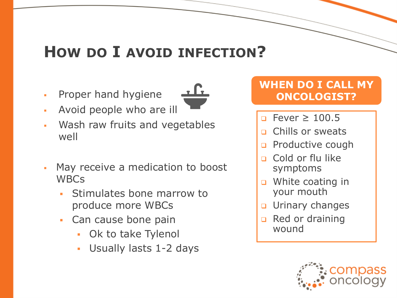### **HOW DO I AVOID INFECTION?**

**•** Proper hand hygiene



- Avoid people who are ill
- Wash raw fruits and vegetables well
- May receive a medication to boost **WBCs** 
	- Stimulates bone marrow to produce more WBCs
	- Can cause bone pain
		- Ok to take Tylenol
		- Usually lasts 1-2 days

#### **WHEN DO I CALL MY ONCOLOGIST?**

- $P$  Fever  $\geq 100.5$
- Chills or sweats
- **Productive cough**
- Cold or flu like symptoms
- **D** White coating in your mouth
- **u** Urinary changes
- Red or draining wound

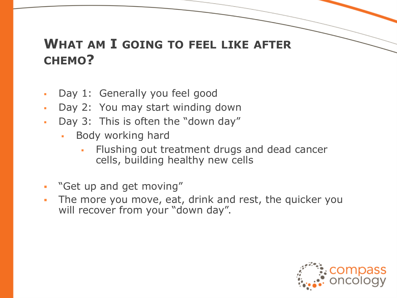#### **WHAT AM I GOING TO FEEL LIKE AFTER CHEMO?**

- Day 1: Generally you feel good
- Day 2: You may start winding down
- Day 3: This is often the "down day"
	- Body working hard
		- Flushing out treatment drugs and dead cancer cells, building healthy new cells
- "Get up and get moving"
- **.** The more you move, eat, drink and rest, the quicker you will recover from your "down day".

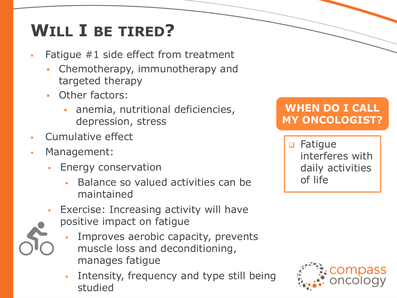# **WILL I BE TIRED?**

- Fatigue  $#1$  side effect from treatment
	- Chemotherapy, immunotherapy and targeted therapy
	- Other factors:
		- anemia, nutritional deficiencies, depression, stress
- Cumulative effect
- Management:
	- **Energy conservation** 
		- Balance so valued activities can be maintained
	- Exercise: Increasing activity will have positive impact on fatigue
		- Improves aerobic capacity, prevents muscle loss and deconditioning, manages fatigue
		- **·** Intensity, frequency and type still being studied

#### **WHEN DO I CALL MY ONCOLOGIST?**

 Fatigue interferes with daily activities of life

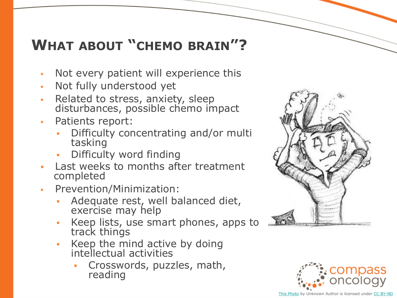### **WHAT ABOUT "CHEMO BRAIN"?**

- Not every patient will experience this
- Not fully understood yet
- Related to stress, anxiety, sleep disturbances, possible chemo impact
- Patients report:
	- Difficulty concentrating and/or multi tasking
	- Difficulty word finding
- Last weeks to months after treatment completed
- Prevention/Minimization:
	- Adequate rest, well balanced diet, exercise may help
	- Keep lists, use smart phones, apps to track things
	- Keep the mind active by doing intellectual activities
		- Crosswords, puzzles, math, reading



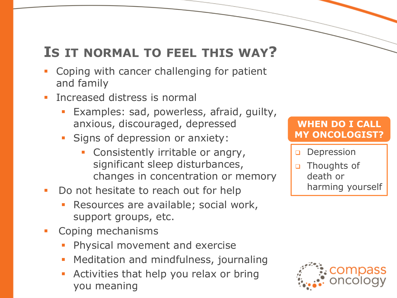#### **IS IT NORMAL TO FEEL THIS WAY?**

- Coping with cancer challenging for patient and family
- **Increased distress is normal** 
	- Examples: sad, powerless, afraid, guilty, anxious, discouraged, depressed
	- Signs of depression or anxiety:
		- Consistently irritable or angry, significant sleep disturbances, changes in concentration or memory
- Do not hesitate to reach out for help
	- Resources are available; social work, support groups, etc.
- **•** Coping mechanisms
	- Physical movement and exercise
	- Meditation and mindfulness, journaling
	- Activities that help you relax or bring you meaning

#### **WHEN DO I CALL MY ONCOLOGIST?**

#### **Depression**

□ Thoughts of death or harming yourself

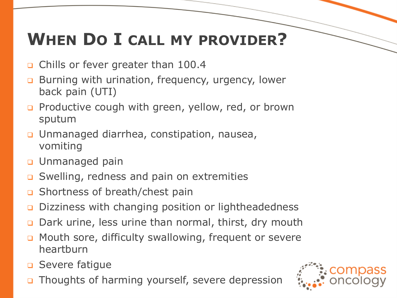# **WHEN DO I CALL MY PROVIDER?**

- □ Chills or fever greater than 100.4
- **Burning with urination, frequency, urgency, lower** back pain (UTI)
- **Productive cough with green, yellow, red, or brown** sputum
- Unmanaged diarrhea, constipation, nausea, vomiting
- **u** Unmanaged pain
- **□** Swelling, redness and pain on extremities
- □ Shortness of breath/chest pain
- Dizziness with changing position or lightheadedness
- **□** Dark urine, less urine than normal, thirst, dry mouth
- **D** Mouth sore, difficulty swallowing, frequent or severe heartburn
- **D** Severe fatigue
- **D** Thoughts of harming yourself, severe depression